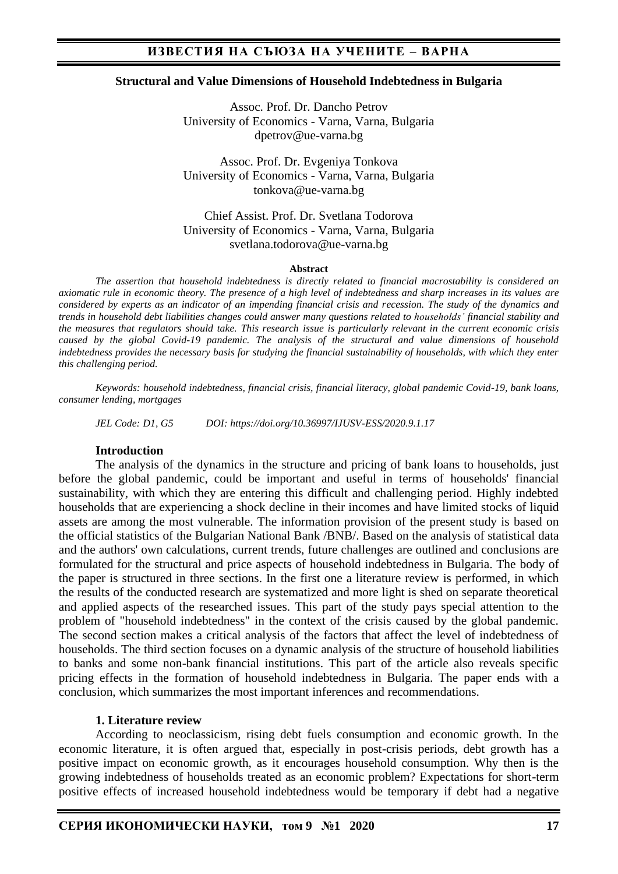#### **Structural and Value Dimensions of Household Indebtedness in Bulgaria**

Assoc. Prof. Dr. Dancho Petrov University of Economics - Varna, Varna, Bulgaria dpetrov@ue-varna.bg

Assoc. Prof. Dr. Evgeniya Tonkova University of Economics - Varna, Varna, Bulgaria tonkova@ue-varna.bg

Chief Assist. Prof. Dr. Svetlana Todorova University of Economics - Varna, Varna, Bulgaria svetlana.todorova@ue-varna.bg

#### **Abstract**

*The assertion that household indebtedness is directly related to financial macrostability is considered an axiomatic rule in economic theory. The presence of a high level of indebtedness and sharp increases in its values are considered by experts as an indicator of an impending financial crisis and recession. The study of the dynamics and trends in household debt liabilities changes could answer many questions related to households' financial stability and the measures that regulators should take. This research issue is particularly relevant in the current economic crisis caused by the global Covid-19 pandemic. The analysis of the structural and value dimensions of household indebtedness provides the necessary basis for studying the financial sustainability of households, with which they enter this challenging period.*

*Keywords: household indebtedness, financial crisis, financial literacy, global pandemic Covid-19, bank loans, consumer lending, mortgages*

*JEL Code: D1, G5 DOI: https://doi.org/10.36997/IJUSV-ESS/2020.9.1.17*

#### **Introduction**

The analysis of the dynamics in the structure and pricing of bank loans to households, just before the global pandemic, could be important and useful in terms of households' financial sustainability, with which they are entering this difficult and challenging period. Highly indebted households that are experiencing a shock decline in their incomes and have limited stocks of liquid assets are among the most vulnerable. The information provision of the present study is based on the official statistics of the Bulgarian National Bank /BNB/. Based on the analysis of statistical data and the authors' own calculations, current trends, future challenges are outlined and conclusions are formulated for the structural and price aspects of household indebtedness in Bulgaria. The body of the paper is structured in three sections. In the first one a literature review is performed, in which the results of the conducted research are systematized and more light is shed on separate theoretical and applied aspects of the researched issues. This part of the study pays special attention to the problem of "household indebtedness" in the context of the crisis caused by the global pandemic. The second section makes a critical analysis of the factors that affect the level of indebtedness of households. The third section focuses on a dynamic analysis of the structure of household liabilities to banks and some non-bank financial institutions. This part of the article also reveals specific pricing effects in the formation of household indebtedness in Bulgaria. The paper ends with a conclusion, which summarizes the most important inferences and recommendations.

#### **1. Literature review**

According to neoclassicism, rising debt fuels consumption and economic growth. In the economic literature, it is often argued that, especially in post-crisis periods, debt growth has a positive impact on economic growth, as it encourages household consumption. Why then is the growing indebtedness of households treated as an economic problem? Expectations for short-term positive effects of increased household indebtedness would be temporary if debt had a negative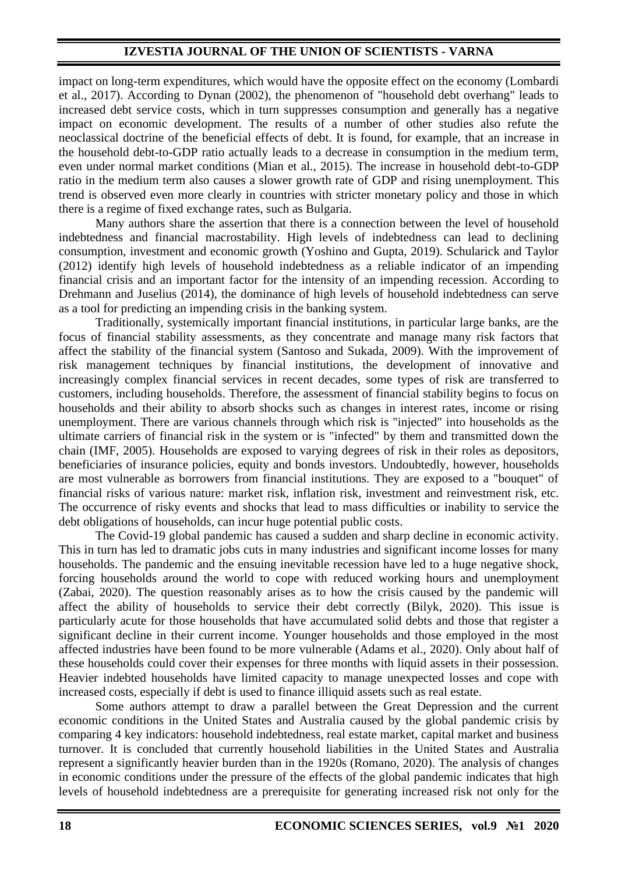impact on long-term expenditures, which would have the opposite effect on the economy (Lombardi et al., 2017). According to Dynan (2002), the phenomenon of "household debt overhang" leads to increased debt service costs, which in turn suppresses consumption and generally has a negative impact on economic development. The results of a number of other studies also refute the neoclassical doctrine of the beneficial effects of debt. It is found, for example, that an increase in the household debt-to-GDP ratio actually leads to a decrease in consumption in the medium term, even under normal market conditions (Mian et al., 2015). The increase in household debt-to-GDP ratio in the medium term also causes a slower growth rate of GDP and rising unemployment. This trend is observed even more clearly in countries with stricter monetary policy and those in which there is a regime of fixed exchange rates, such as Bulgaria.

Many authors share the assertion that there is a connection between the level of household indebtedness and financial macrostability. High levels of indebtedness can lead to declining consumption, investment and economic growth (Yoshino and Gupta, 2019). Schularick and Taylor (2012) identify high levels of household indebtedness as a reliable indicator of an impending financial crisis and an important factor for the intensity of an impending recession. According to Drehmann and Juselius (2014), the dominance of high levels of household indebtedness can serve as a tool for predicting an impending crisis in the banking system.

Traditionally, systemically important financial institutions, in particular large banks, are the focus of financial stability assessments, as they concentrate and manage many risk factors that affect the stability of the financial system (Santoso and Sukada, 2009). With the improvement of risk management techniques by financial institutions, the development of innovative and increasingly complex financial services in recent decades, some types of risk are transferred to customers, including households. Therefore, the assessment of financial stability begins to focus on households and their ability to absorb shocks such as changes in interest rates, income or rising unemployment. There are various channels through which risk is "injected" into households as the ultimate carriers of financial risk in the system or is "infected" by them and transmitted down the chain (IMF, 2005). Households are exposed to varying degrees of risk in their roles as depositors, beneficiaries of insurance policies, equity and bonds investors. Undoubtedly, however, households are most vulnerable as borrowers from financial institutions. They are exposed to a "bouquet" of financial risks of various nature: market risk, inflation risk, investment and reinvestment risk, etc. The occurrence of risky events and shocks that lead to mass difficulties or inability to service the debt obligations of households, can incur huge potential public costs.

The Covid-19 global pandemic has caused a sudden and sharp decline in economic activity. This in turn has led to dramatic jobs cuts in many industries and significant income losses for many households. The pandemic and the ensuing inevitable recession have led to a huge negative shock, forcing households around the world to cope with reduced working hours and unemployment (Zabai, 2020). The question reasonably arises as to how the crisis caused by the pandemic will affect the ability of households to service their debt correctly (Bilyk, 2020). This issue is particularly acute for those households that have accumulated solid debts and those that register a significant decline in their current income. Younger households and those employed in the most affected industries have been found to be more vulnerable (Adams et al., 2020). Only about half of these households could cover their expenses for three months with liquid assets in their possession. Heavier indebted households have limited capacity to manage unexpected losses and cope with increased costs, especially if debt is used to finance illiquid assets such as real estate.

Some authors attempt to draw a parallel between the Great Depression and the current economic conditions in the United States and Australia caused by the global pandemic crisis by comparing 4 key indicators: household indebtedness, real estate market, capital market and business turnover. It is concluded that currently household liabilities in the United States and Australia represent a significantly heavier burden than in the 1920s (Romano, 2020). The analysis of changes in economic conditions under the pressure of the effects of the global pandemic indicates that high levels of household indebtedness are a prerequisite for generating increased risk not only for the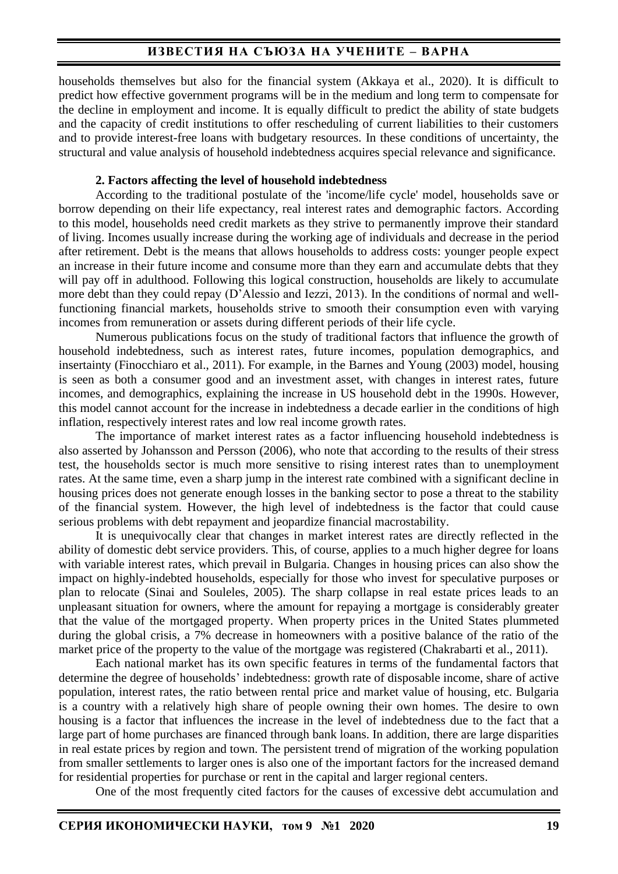households themselves but also for the financial system (Akkaya et al., 2020). It is difficult to predict how effective government programs will be in the medium and long term to compensate for the decline in employment and income. It is equally difficult to predict the ability of state budgets and the capacity of credit institutions to offer rescheduling of current liabilities to their customers and to provide interest-free loans with budgetary resources. In these conditions of uncertainty, the structural and value analysis of household indebtedness acquires special relevance and significance.

### **2. Factors affecting the level of household indebtedness**

According to the traditional postulate of the 'income/life cycle' model, households save or borrow depending on their life expectancy, real interest rates and demographic factors. According to this model, households need credit markets as they strive to permanently improve their standard of living. Incomes usually increase during the working age of individuals and decrease in the period after retirement. Debt is the means that allows households to address costs: younger people expect an increase in their future income and consume more than they earn and accumulate debts that they will pay off in adulthood. Following this logical construction, households are likely to accumulate more debt than they could repay (D'Alessio and Iezzi, 2013). In the conditions of normal and wellfunctioning financial markets, households strive to smooth their consumption even with varying incomes from remuneration or assets during different periods of their life cycle.

Numerous publications focus on the study of traditional factors that influence the growth of household indebtedness, such as interest rates, future incomes, population demographics, and insertainty (Finocchiaro et al., 2011). For example, in the Barnes and Young (2003) model, housing is seen as both a consumer good and an investment asset, with changes in interest rates, future incomes, and demographics, explaining the increase in US household debt in the 1990s. However, this model cannot account for the increase in indebtedness a decade earlier in the conditions of high inflation, respectively interest rates and low real income growth rates.

The importance of market interest rates as a factor influencing household indebtedness is also asserted by Johansson and Persson (2006), who note that according to the results of their stress test, the households sector is much more sensitive to rising interest rates than to unemployment rates. At the same time, even a sharp jump in the interest rate combined with a significant decline in housing prices does not generate enough losses in the banking sector to pose a threat to the stability of the financial system. However, the high level of indebtedness is the factor that could cause serious problems with debt repayment and jeopardize financial macrostability.

It is unequivocally clear that changes in market interest rates are directly reflected in the ability of domestic debt service providers. This, of course, applies to a much higher degree for loans with variable interest rates, which prevail in Bulgaria. Changes in housing prices can also show the impact on highly-indebted households, especially for those who invest for speculative purposes or plan to relocate (Sinai and Souleles, 2005). The sharp collapse in real estate prices leads to an unpleasant situation for owners, where the amount for repaying a mortgage is considerably greater that the value of the mortgaged property. When property prices in the United States plummeted during the global crisis, a 7% decrease in homeowners with a positive balance of the ratio of the market price of the property to the value of the mortgage was registered (Chakrabarti et al., 2011).

Each national market has its own specific features in terms of the fundamental factors that determine the degree of households' indebtedness: growth rate of disposable income, share of active population, interest rates, the ratio between rental price and market value of housing, etc. Bulgaria is a country with a relatively high share of people owning their own homes. The desire to own housing is a factor that influences the increase in the level of indebtedness due to the fact that a large part of home purchases are financed through bank loans. In addition, there are large disparities in real estate prices by region and town. The persistent trend of migration of the working population from smaller settlements to larger ones is also one of the important factors for the increased demand for residential properties for purchase or rent in the capital and larger regional centers.

One of the most frequently cited factors for the causes of excessive debt accumulation and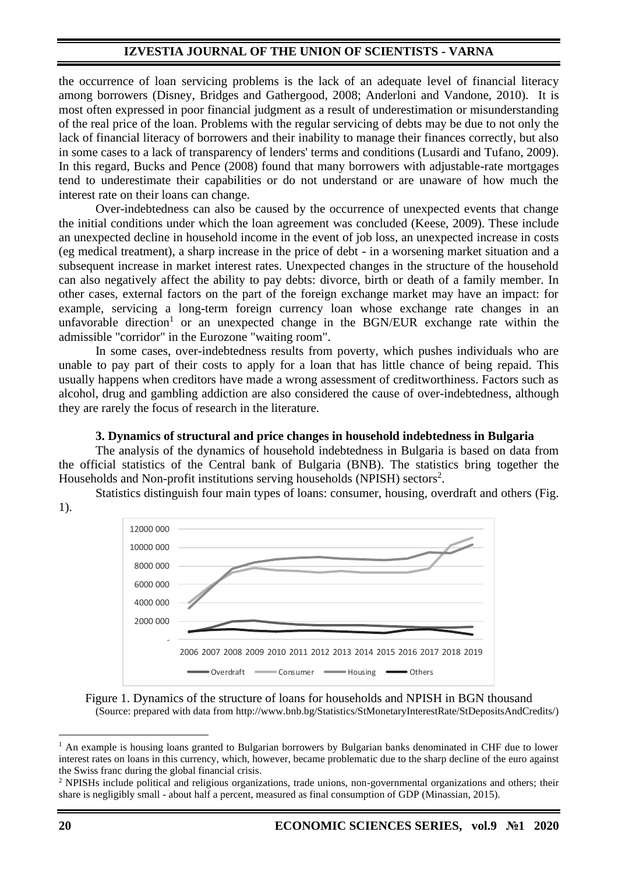the occurrence of loan servicing problems is the lack of an adequate level of financial literacy among borrowers (Disney, Bridges and Gathergood, 2008; Anderloni and Vandone, 2010). It is most often expressed in poor financial judgment as a result of underestimation or misunderstanding of the real price of the loan. Problems with the regular servicing of debts may be due to not only the lack of financial literacy of borrowers and their inability to manage their finances correctly, but also in some cases to a lack of transparency of lenders' terms and conditions (Lusardi and Tufano, 2009). In this regard, Bucks and Pence (2008) found that many borrowers with adjustable-rate mortgages tend to underestimate their capabilities or do not understand or are unaware of how much the interest rate on their loans can change.

Over-indebtedness can also be caused by the occurrence of unexpected events that change the initial conditions under which the loan agreement was concluded (Keese, 2009). These include an unexpected decline in household income in the event of job loss, an unexpected increase in costs (eg medical treatment), a sharp increase in the price of debt - in a worsening market situation and a subsequent increase in market interest rates. Unexpected changes in the structure of the household can also negatively affect the ability to pay debts: divorce, birth or death of a family member. In other cases, external factors on the part of the foreign exchange market may have an impact: for example, servicing a long-term foreign currency loan whose exchange rate changes in an unfavorable direction<sup>1</sup> or an unexpected change in the BGN/EUR exchange rate within the admissible "corridor" in the Eurozone "waiting room".

In some cases, over-indebtedness results from poverty, which pushes individuals who are unable to pay part of their costs to apply for a loan that has little chance of being repaid. This usually happens when creditors have made a wrong assessment of creditworthiness. Factors such as alcohol, drug and gambling addiction are also considered the cause of over-indebtedness, although they are rarely the focus of research in the literature.

#### **3. Dynamics of structural and price changes in household indebtedness in Bulgaria**

The analysis of the dynamics of household indebtedness in Bulgaria is based on data from the official statistics of the Central bank of Bulgaria (BNB). The statistics bring together the Households and Non-profit institutions serving households (NPISH) sectors<sup>2</sup>.

Statistics distinguish four main types of loans: consumer, housing, overdraft and others (Fig.



Figure 1. Dynamics of the structure of loans for households and NPISH in BGN thousand (Source: prepared with data from http://www.bnb.bg/Statistics/StMonetaryInterestRate/StDepositsAndCredits/)

1).

<sup>&</sup>lt;sup>1</sup> An example is housing loans granted to Bulgarian borrowers by Bulgarian banks denominated in CHF due to lower interest rates on loans in this currency, which, however, became problematic due to the sharp decline of the euro against the Swiss franc during the global financial crisis.

<sup>2</sup> NPISHs include political and religious organizations, trade unions, non-governmental organizations and others; their share is negligibly small - about half a percent, measured as final consumption of GDP (Minassian, 2015).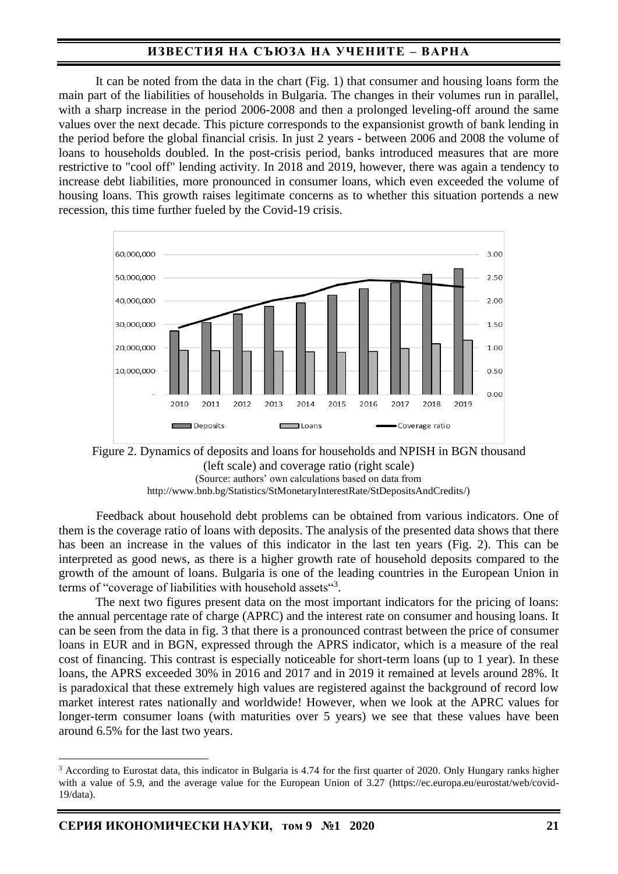It can be noted from the data in the chart (Fig. 1) that consumer and housing loans form the main part of the liabilities of households in Bulgaria. The changes in their volumes run in parallel, with a sharp increase in the period 2006-2008 and then a prolonged leveling-off around the same values over the next decade. This picture corresponds to the expansionist growth of bank lending in the period before the global financial crisis. In just 2 years - between 2006 and 2008 the volume of loans to households doubled. In the post-crisis period, banks introduced measures that are more restrictive to "cool off" lending activity. In 2018 and 2019, however, there was again a tendency to increase debt liabilities, more pronounced in consumer loans, which even exceeded the volume of housing loans. This growth raises legitimate concerns as to whether this situation portends a new recession, this time further fueled by the Covid-19 crisis.





Feedback about household debt problems can be obtained from various indicators. One of them is the coverage ratio of loans with deposits. The analysis of the presented data shows that there has been an increase in the values of this indicator in the last ten years (Fig. 2). This can be interpreted as good news, as there is a higher growth rate of household deposits compared to the growth of the amount of loans. Bulgaria is one of the leading countries in the European Union in terms of "coverage of liabilities with household assets"<sup>3</sup>.

The next two figures present data on the most important indicators for the pricing of loans: the annual percentage rate of charge (APRC) and the interest rate on consumer and housing loans. It can be seen from the data in fig. 3 that there is a pronounced contrast between the price of consumer loans in EUR and in BGN, expressed through the APRS indicator, which is a measure of the real cost of financing. This contrast is especially noticeable for short-term loans (up to 1 year). In these loans, the APRS exceeded 30% in 2016 and 2017 and in 2019 it remained at levels around 28%. It is paradoxical that these extremely high values are registered against the background of record low market interest rates nationally and worldwide! However, when we look at the APRC values for longer-term consumer loans (with maturities over 5 years) we see that these values have been around 6.5% for the last two years.

<sup>&</sup>lt;sup>3</sup> According to Eurostat data, this indicator in Bulgaria is 4.74 for the first quarter of 2020. Only Hungary ranks higher with a value of 5.9, and the average value for the European Union of 3.27 (https://ec.europa.eu/eurostat/web/covid-19/data).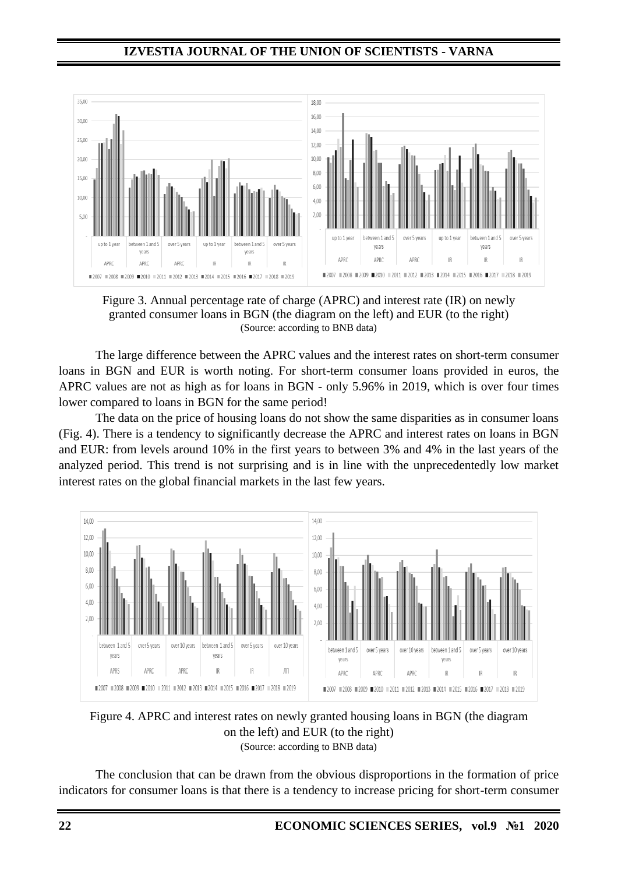

Figure 3. Annual percentage rate of charge (APRC) and interest rate (IR) on newly granted consumer loans in BGN (the diagram on the left) and EUR (to the right) (Source: according to BNB data)

The large difference between the APRC values and the interest rates on short-term consumer loans in BGN and EUR is worth noting. For short-term consumer loans provided in euros, the APRC values are not as high as for loans in BGN - only 5.96% in 2019, which is over four times lower compared to loans in BGN for the same period!

The data on the price of housing loans do not show the same disparities as in consumer loans (Fig. 4). There is a tendency to significantly decrease the APRC and interest rates on loans in BGN and EUR: from levels around 10% in the first years to between 3% and 4% in the last years of the analyzed period. This trend is not surprising and is in line with the unprecedentedly low market interest rates on the global financial markets in the last few years.



Figure 4. APRC and interest rates on newly granted housing loans in BGN (the diagram on the left) and EUR (to the right) (Source: according to BNB data)

The conclusion that can be drawn from the obvious disproportions in the formation of price indicators for consumer loans is that there is a tendency to increase pricing for short-term consumer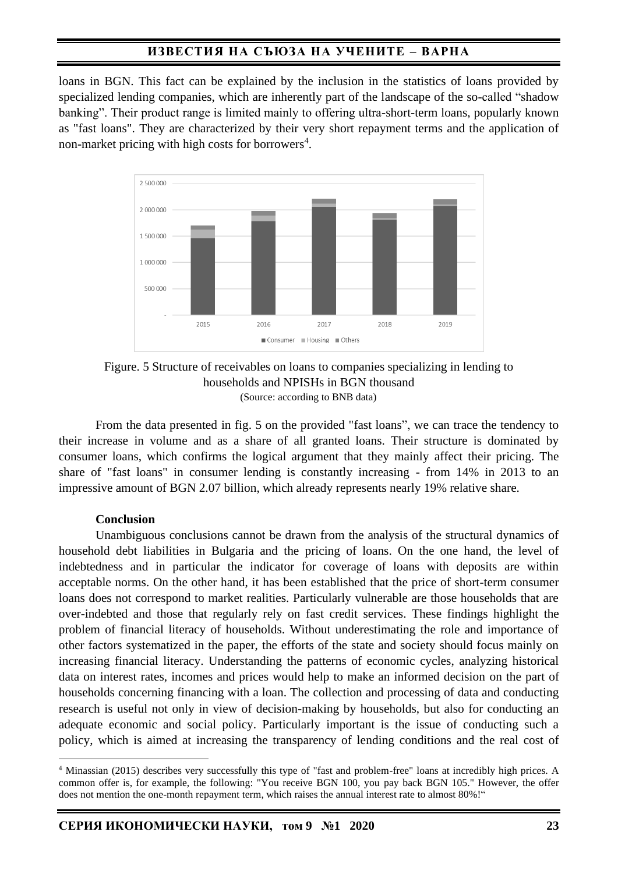loans in BGN. This fact can be explained by the inclusion in the statistics of loans provided by specialized lending companies, which are inherently part of the landscape of the so-called "shadow banking". Their product range is limited mainly to offering ultra-short-term loans, popularly known as "fast loans". They are characterized by their very short repayment terms and the application of non-market pricing with high costs for borrowers<sup>4</sup>.



Figure. 5 Structure of receivables on loans to companies specializing in lending to households and NPISHs in BGN thousand (Source: according to BNB data)

From the data presented in fig. 5 on the provided "fast loans", we can trace the tendency to their increase in volume and as a share of all granted loans. Their structure is dominated by consumer loans, which confirms the logical argument that they mainly affect their pricing. The share of "fast loans" in consumer lending is constantly increasing - from 14% in 2013 to an impressive amount of BGN 2.07 billion, which already represents nearly 19% relative share.

### **Conclusion**

Unambiguous conclusions cannot be drawn from the analysis of the structural dynamics of household debt liabilities in Bulgaria and the pricing of loans. On the one hand, the level of indebtedness and in particular the indicator for coverage of loans with deposits are within acceptable norms. On the other hand, it has been established that the price of short-term consumer loans does not correspond to market realities. Particularly vulnerable are those households that are over-indebted and those that regularly rely on fast credit services. These findings highlight the problem of financial literacy of households. Without underestimating the role and importance of other factors systematized in the paper, the efforts of the state and society should focus mainly on increasing financial literacy. Understanding the patterns of economic cycles, analyzing historical data on interest rates, incomes and prices would help to make an informed decision on the part of households concerning financing with a loan. The collection and processing of data and conducting research is useful not only in view of decision-making by households, but also for conducting an adequate economic and social policy. Particularly important is the issue of conducting such a policy, which is aimed at increasing the transparency of lending conditions and the real cost of

<sup>4</sup> Minassian (2015) describes very successfully this type of "fast and problem-free" loans at incredibly high prices. A common offer is, for example, the following: "You receive BGN 100, you pay back BGN 105." However, the offer does not mention the one-month repayment term, which raises the annual interest rate to almost 80%!"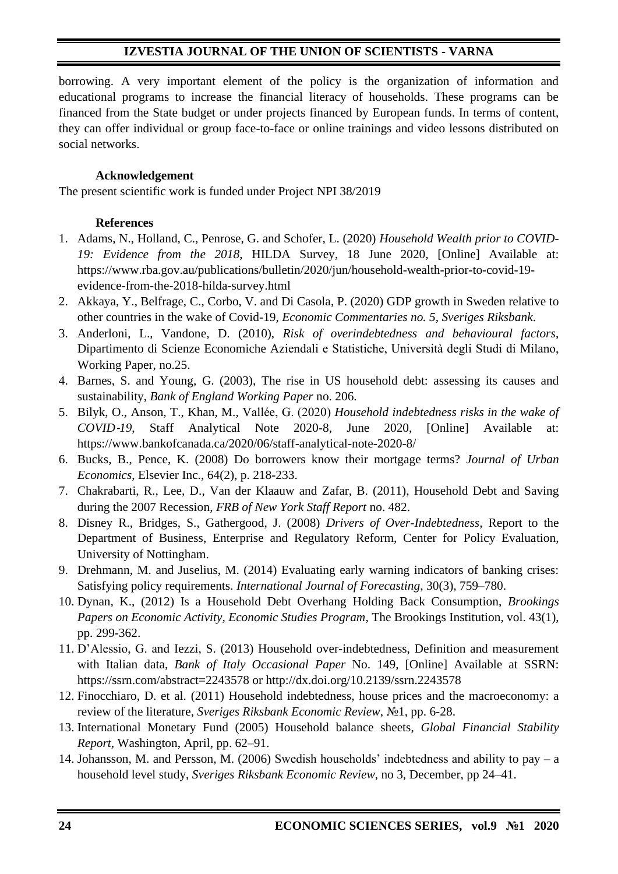borrowing. A very important element of the policy is the organization of information and educational programs to increase the financial literacy of households. These programs can be financed from the State budget or under projects financed by European funds. In terms of content, they can offer individual or group face-to-face or online trainings and video lessons distributed on social networks.

## **Acknowledgement**

The present scientific work is funded under Project NPI 38/2019

## **References**

- 1. Adams, N., Holland, C., Penrose, G. and Schofer, L. (2020) *Household Wealth prior to COVID-19: Evidence from the 2018*, HILDA Survey, 18 June 2020, [Online] Available at: https://www.rba.gov.au/publications/bulletin/2020/jun/household-wealth-prior-to-covid-19 evidence-from-the-2018-hilda-survey.html
- 2. Akkaya, Y., Belfrage, C., Corbo, V. and Di Casola, P. (2020) GDP growth in Sweden relative to other countries in the wake of Covid-19, *Economic Commentaries no. 5, Sveriges Riksbank*.
- 3. Anderloni, L., Vandone, D. (2010), *Risk of overindebtedness and behavioural factors*, Dipartimento di Scienze Economiche Aziendali e Statistiche, Università degli Studi di Milano, Working Paper, no.25.
- 4. Barnes, S. and Young, G. (2003), The rise in US household debt: assessing its causes and sustainability, *Bank of England Working Paper* no. 206.
- 5. Bilyk, O., Anson, T., Khan, M., Vallée, G. (2020) *Household indebtedness risks in the wake of COVID*‑*19*, Staff Analytical Note 2020-8, June 2020, [Online] Available at: https://www.bankofcanada.ca/2020/06/staff-analytical-note-2020-8/
- 6. Bucks, B., Pence, K. (2008) Do borrowers know their mortgage terms? *Journal of Urban Economics*, Elsevier Inc., 64(2), p. 218-233.
- 7. Chakrabarti, R., Lee, D., Van der Klaauw and Zafar, B. (2011), Household Debt and Saving during the 2007 Recession, *FRB of New York Staff Report* no. 482.
- 8. Disney R., Bridges, S., Gathergood, J. (2008) *Drivers of Over-Indebtedness*, Report to the Department of Business, Enterprise and Regulatory Reform, Center for Policy Evaluation, University of Nottingham.
- 9. Drehmann, M. and Juselius, M. (2014) Evaluating early warning indicators of banking crises: Satisfying policy requirements. *International Journal of Forecasting*, 30(3), 759–780.
- 10. Dynan, K., (2012) Is a Household Debt Overhang Holding Back Consumption, *Brookings Papers on Economic Activity, Economic Studies Program*, The Brookings Institution, vol. 43(1), pp. 299-362.
- 11. D'Alessio, G. and Iezzi, S. (2013) Household over-indebtedness, Definition and measurement with Italian data, *Bank of Italy Occasional Paper* No. 149, [Online] Available at SSRN: https://ssrn.com/abstract=2243578 or http://dx.doi.org/10.2139/ssrn.2243578
- 12. Finocchiaro, D. et al. (2011) Household indebtedness, house prices and the macroeconomy: a review of the literature, *Sveriges Riksbank Economic Review*, №1, pp. 6-28.
- 13. International Monetary Fund (2005) Household balance sheets, *Global Financial Stability Report*, Washington, April, pp. 62–91.
- 14. Johansson, M. and Persson, M. (2006) Swedish households' indebtedness and ability to pay a household level study, *Sveriges Riksbank Economic Review*, no 3, December, pp 24–41.